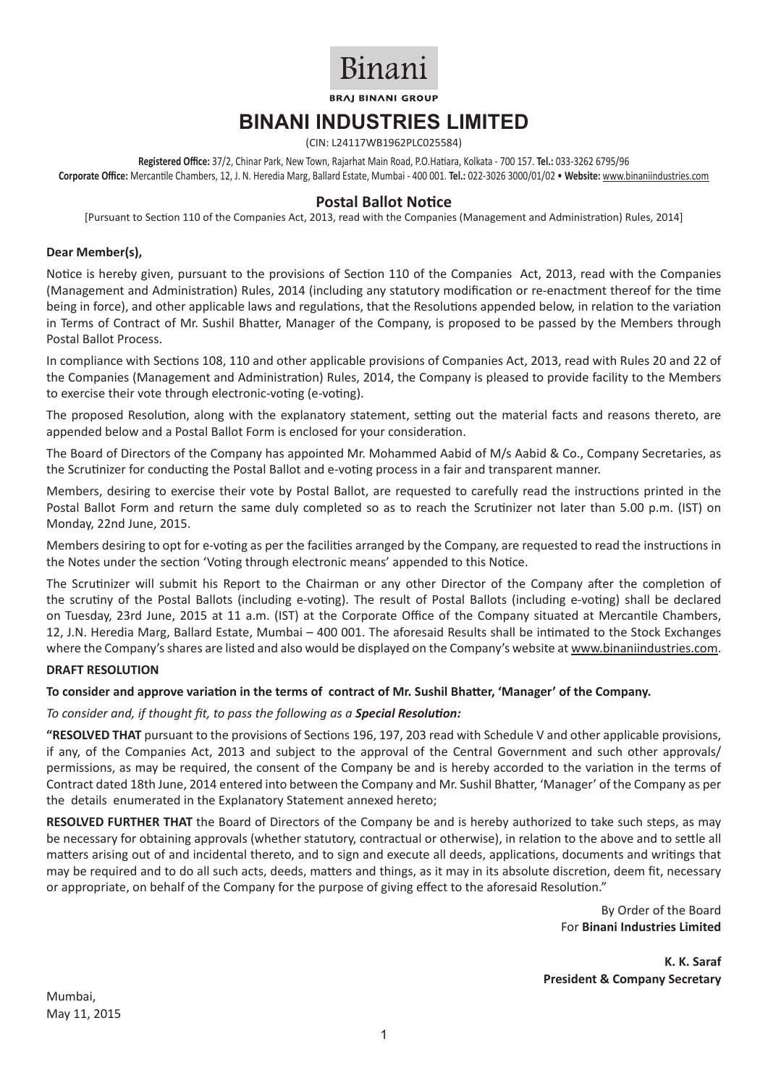

**BRAI BINANI GROUP** 

# **BINANI INDUSTRIES LIMITED**

(CIN: L24117WB1962PLC025584)

**Registered Office:** 37/2, Chinar Park, New Town, Rajarhat Main Road, P.O.Hatiara, Kolkata - 700 157. **Tel.:** 033-3262 6795/96 **Corporate Office:** Mercantile Chambers, 12, J. N. Heredia Marg, Ballard Estate, Mumbai - 400 001. **Tel.:** 022-3026 3000/01/02 • **Website:** www.binaniindustries.com

# **Postal Ballot Notice**

[Pursuant to Section 110 of the Companies Act, 2013, read with the Companies (Management and Administration) Rules, 2014]

#### **Dear Member(s),**

Notice is hereby given, pursuant to the provisions of Section 110 of the Companies Act, 2013, read with the Companies (Management and Administration) Rules, 2014 (including any statutory modification or re-enactment thereof for the time being in force), and other applicable laws and regulations, that the Resolutions appended below, in relation to the variation in Terms of Contract of Mr. Sushil Bhatter, Manager of the Company, is proposed to be passed by the Members through Postal Ballot Process.

In compliance with Sections 108, 110 and other applicable provisions of Companies Act, 2013, read with Rules 20 and 22 of the Companies (Management and Administration) Rules, 2014, the Company is pleased to provide facility to the Members to exercise their vote through electronic-voting (e-voting).

The proposed Resolution, along with the explanatory statement, setting out the material facts and reasons thereto, are appended below and a Postal Ballot Form is enclosed for your consideration.

The Board of Directors of the Company has appointed Mr. Mohammed Aabid of M/s Aabid & Co., Company Secretaries, as the Scrutinizer for conducting the Postal Ballot and e-voting process in a fair and transparent manner.

Members, desiring to exercise their vote by Postal Ballot, are requested to carefully read the instructions printed in the Postal Ballot Form and return the same duly completed so as to reach the Scrutinizer not later than 5.00 p.m. (IST) on Monday, 22nd June, 2015.

Members desiring to opt for e-voting as per the facilities arranged by the Company, are requested to read the instructions in the Notes under the section 'Voting through electronic means' appended to this Notice.

The Scrutinizer will submit his Report to the Chairman or any other Director of the Company after the completion of the scrutiny of the Postal Ballots (including e-voting). The result of Postal Ballots (including e-voting) shall be declared on Tuesday, 23rd June, 2015 at 11 a.m. (IST) at the Corporate Office of the Company situated at Mercantile Chambers, 12, J.N. Heredia Marg, Ballard Estate, Mumbai – 400 001. The aforesaid Results shall be intimated to the Stock Exchanges where the Company's shares are listed and also would be displayed on the Company's website at www.binaniindustries.com.

#### **DRAFT RESOLUTION**

#### **To consider and approve variation in the terms of contract of Mr. Sushil Bhatter, 'Manager' of the Company.**

*To consider and, if thought fit, to pass the following as a Special Resolution:*

**"RESOLVED THAT** pursuant to the provisions of Sections 196, 197, 203 read with Schedule V and other applicable provisions, if any, of the Companies Act, 2013 and subject to the approval of the Central Government and such other approvals/ permissions, as may be required, the consent of the Company be and is hereby accorded to the variation in the terms of Contract dated 18th June, 2014 entered into between the Company and Mr. Sushil Bhatter, 'Manager' of the Company as per the details enumerated in the Explanatory Statement annexed hereto;

**RESOLVED FURTHER THAT** the Board of Directors of the Company be and is hereby authorized to take such steps, as may be necessary for obtaining approvals (whether statutory, contractual or otherwise), in relation to the above and to settle all matters arising out of and incidental thereto, and to sign and execute all deeds, applications, documents and writings that may be required and to do all such acts, deeds, matters and things, as it may in its absolute discretion, deem fit, necessary or appropriate, on behalf of the Company for the purpose of giving effect to the aforesaid Resolution."

> By Order of the Board For **Binani Industries Limited**

**K. K. Saraf President & Company Secretary**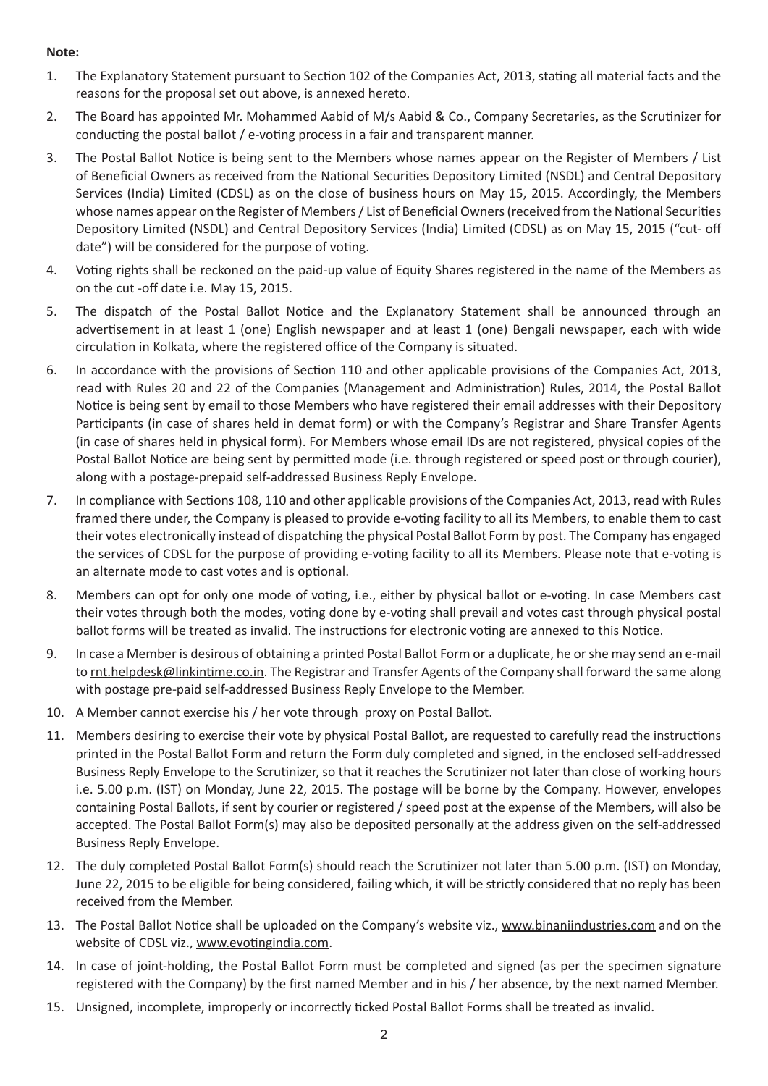# **Note:**

- 1. The Explanatory Statement pursuant to Section 102 of the Companies Act, 2013, stating all material facts and the reasons for the proposal set out above, is annexed hereto.
- 2. The Board has appointed Mr. Mohammed Aabid of M/s Aabid & Co., Company Secretaries, as the Scrutinizer for conducting the postal ballot / e-voting process in a fair and transparent manner.
- 3. The Postal Ballot Notice is being sent to the Members whose names appear on the Register of Members / List of Beneficial Owners as received from the National Securities Depository Limited (NSDL) and Central Depository Services (India) Limited (CDSL) as on the close of business hours on May 15, 2015. Accordingly, the Members whose names appear on the Register of Members / List of Beneficial Owners (received from the National Securities Depository Limited (NSDL) and Central Depository Services (India) Limited (CDSL) as on May 15, 2015 ("cut- off date") will be considered for the purpose of voting.
- 4. Voting rights shall be reckoned on the paid-up value of Equity Shares registered in the name of the Members as on the cut -off date i.e. May 15, 2015.
- 5. The dispatch of the Postal Ballot Notice and the Explanatory Statement shall be announced through an advertisement in at least 1 (one) English newspaper and at least 1 (one) Bengali newspaper, each with wide circulation in Kolkata, where the registered office of the Company is situated.
- 6. In accordance with the provisions of Section 110 and other applicable provisions of the Companies Act, 2013, read with Rules 20 and 22 of the Companies (Management and Administration) Rules, 2014, the Postal Ballot Notice is being sent by email to those Members who have registered their email addresses with their Depository Participants (in case of shares held in demat form) or with the Company's Registrar and Share Transfer Agents (in case of shares held in physical form). For Members whose email IDs are not registered, physical copies of the Postal Ballot Notice are being sent by permitted mode (i.e. through registered or speed post or through courier), along with a postage-prepaid self-addressed Business Reply Envelope.
- 7. In compliance with Sections 108, 110 and other applicable provisions of the Companies Act, 2013, read with Rules framed there under, the Company is pleased to provide e-voting facility to all its Members, to enable them to cast their votes electronically instead of dispatching the physical Postal Ballot Form by post. The Company has engaged the services of CDSL for the purpose of providing e-voting facility to all its Members. Please note that e-voting is an alternate mode to cast votes and is optional.
- 8. Members can opt for only one mode of voting, i.e., either by physical ballot or e-voting. In case Members cast their votes through both the modes, voting done by e-voting shall prevail and votes cast through physical postal ballot forms will be treated as invalid. The instructions for electronic voting are annexed to this Notice.
- 9. In case a Member is desirous of obtaining a printed Postal Ballot Form or a duplicate, he or she may send an e-mail to rnt.helpdesk@linkintime.co.in. The Registrar and Transfer Agents of the Company shall forward the same along with postage pre-paid self-addressed Business Reply Envelope to the Member.
- 10. A Member cannot exercise his / her vote through proxy on Postal Ballot.
- 11. Members desiring to exercise their vote by physical Postal Ballot, are requested to carefully read the instructions printed in the Postal Ballot Form and return the Form duly completed and signed, in the enclosed self-addressed Business Reply Envelope to the Scrutinizer, so that it reaches the Scrutinizer not later than close of working hours i.e. 5.00 p.m. (IST) on Monday, June 22, 2015. The postage will be borne by the Company. However, envelopes containing Postal Ballots, if sent by courier or registered / speed post at the expense of the Members, will also be accepted. The Postal Ballot Form(s) may also be deposited personally at the address given on the self-addressed Business Reply Envelope.
- 12. The duly completed Postal Ballot Form(s) should reach the Scrutinizer not later than 5.00 p.m. (IST) on Monday, June 22, 2015 to be eligible for being considered, failing which, it will be strictly considered that no reply has been received from the Member.
- 13. The Postal Ballot Notice shall be uploaded on the Company's website viz., www.binaniindustries.com and on the website of CDSL viz., www.evotingindia.com.
- 14. In case of joint-holding, the Postal Ballot Form must be completed and signed (as per the specimen signature registered with the Company) by the first named Member and in his / her absence, by the next named Member.
- 15. Unsigned, incomplete, improperly or incorrectly ticked Postal Ballot Forms shall be treated as invalid.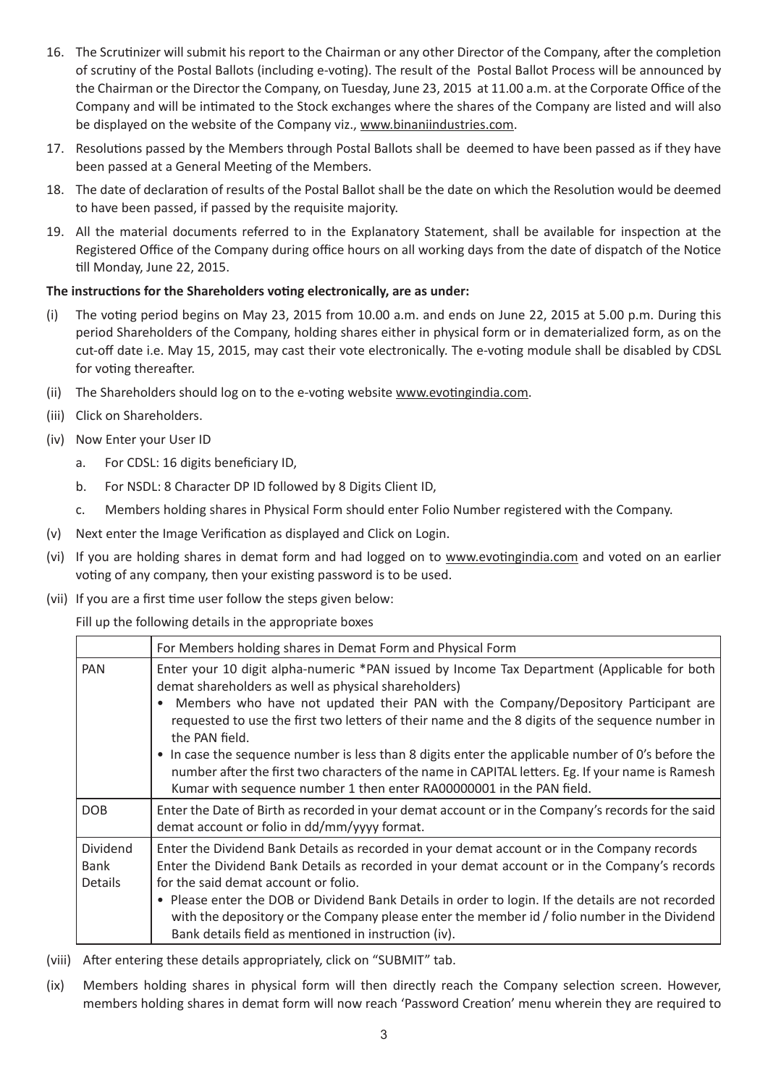- 16. The Scrutinizer will submit his report to the Chairman or any other Director of the Company, after the completion of scrutiny of the Postal Ballots (including e-voting). The result of the Postal Ballot Process will be announced by the Chairman or the Director the Company, on Tuesday, June 23, 2015 at 11.00 a.m. at the Corporate Office of the Company and will be intimated to the Stock exchanges where the shares of the Company are listed and will also be displayed on the website of the Company viz., www.binaniindustries.com.
- 17. Resolutions passed by the Members through Postal Ballots shall be deemed to have been passed as if they have been passed at a General Meeting of the Members.
- 18. The date of declaration of results of the Postal Ballot shall be the date on which the Resolution would be deemed to have been passed, if passed by the requisite majority.
- 19. All the material documents referred to in the Explanatory Statement, shall be available for inspection at the Registered Office of the Company during office hours on all working days from the date of dispatch of the Notice till Monday, June 22, 2015.

# **The instructions for the Shareholders voting electronically, are as under:**

- (i) The voting period begins on May 23, 2015 from 10.00 a.m. and ends on June 22, 2015 at 5.00 p.m. During this period Shareholders of the Company, holding shares either in physical form or in dematerialized form, as on the cut-off date i.e. May 15, 2015, may cast their vote electronically. The e-voting module shall be disabled by CDSL for voting thereafter.
- (ii) The Shareholders should log on to the e-voting website www.evotingindia.com.
- (iii) Click on Shareholders.
- (iv) Now Enter your User ID
	- a. For CDSL: 16 digits beneficiary ID,
	- b. For NSDL: 8 Character DP ID followed by 8 Digits Client ID,
	- c. Members holding shares in Physical Form should enter Folio Number registered with the Company.
- (v) Next enter the Image Verification as displayed and Click on Login.
- (vi) If you are holding shares in demat form and had logged on to www.evotingindia.com and voted on an earlier voting of any company, then your existing password is to be used.
- (vii) If you are a first time user follow the steps given below:

Fill up the following details in the appropriate boxes

|                                           | For Members holding shares in Demat Form and Physical Form                                                                                                                                                                                                                                                                                                                                                                                                                                                                                                                                                                                                              |
|-------------------------------------------|-------------------------------------------------------------------------------------------------------------------------------------------------------------------------------------------------------------------------------------------------------------------------------------------------------------------------------------------------------------------------------------------------------------------------------------------------------------------------------------------------------------------------------------------------------------------------------------------------------------------------------------------------------------------------|
| <b>PAN</b>                                | Enter your 10 digit alpha-numeric *PAN issued by Income Tax Department (Applicable for both<br>demat shareholders as well as physical shareholders)<br>Members who have not updated their PAN with the Company/Depository Participant are<br>$\bullet$<br>requested to use the first two letters of their name and the 8 digits of the sequence number in<br>the PAN field.<br>In case the sequence number is less than 8 digits enter the applicable number of 0's before the<br>$\bullet$<br>number after the first two characters of the name in CAPITAL letters. Eg. If your name is Ramesh<br>Kumar with sequence number 1 then enter RA00000001 in the PAN field. |
| <b>DOB</b>                                | Enter the Date of Birth as recorded in your demat account or in the Company's records for the said<br>demat account or folio in dd/mm/yyyy format.                                                                                                                                                                                                                                                                                                                                                                                                                                                                                                                      |
| <b>Dividend</b><br>Bank<br><b>Details</b> | Enter the Dividend Bank Details as recorded in your demat account or in the Company records<br>Enter the Dividend Bank Details as recorded in your demat account or in the Company's records<br>for the said demat account or folio.<br>• Please enter the DOB or Dividend Bank Details in order to login. If the details are not recorded<br>with the depository or the Company please enter the member id / folio number in the Dividend<br>Bank details field as mentioned in instruction (iv).                                                                                                                                                                      |

- (viii) After entering these details appropriately, click on "SUBMIT" tab.
- (ix) Members holding shares in physical form will then directly reach the Company selection screen. However, members holding shares in demat form will now reach 'Password Creation' menu wherein they are required to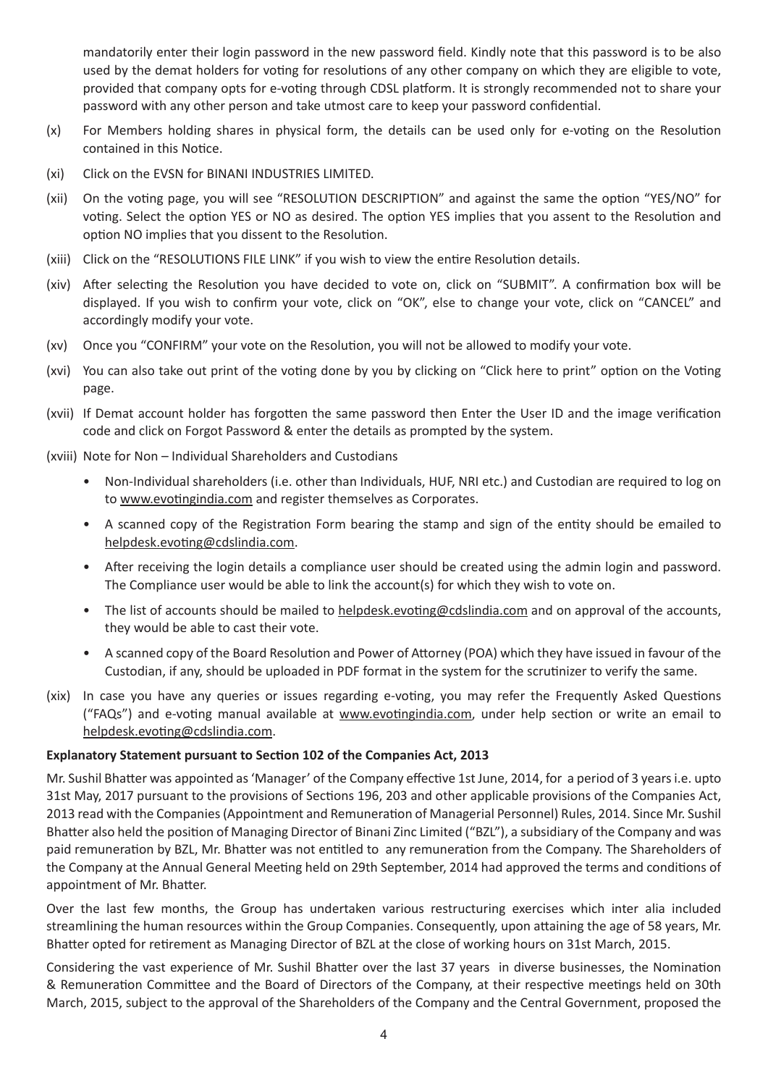mandatorily enter their login password in the new password field. Kindly note that this password is to be also used by the demat holders for voting for resolutions of any other company on which they are eligible to vote, provided that company opts for e-voting through CDSL platform. It is strongly recommended not to share your password with any other person and take utmost care to keep your password confidential.

- (x) For Members holding shares in physical form, the details can be used only for e-voting on the Resolution contained in this Notice.
- (xi) Click on the EVSN for BINANI INDUSTRIES LIMITED.
- (xii) On the voting page, you will see "RESOLUTION DESCRIPTION" and against the same the option "YES/NO" for voting. Select the option YES or NO as desired. The option YES implies that you assent to the Resolution and option NO implies that you dissent to the Resolution.
- (xiii) Click on the "RESOLUTIONS FILE LINK" if you wish to view the entire Resolution details.
- (xiv) After selecting the Resolution you have decided to vote on, click on "SUBMIT". A confirmation box will be displayed. If you wish to confirm your vote, click on "OK", else to change your vote, click on "CANCEL" and accordingly modify your vote.
- (xv) Once you "CONFIRM" your vote on the Resolution, you will not be allowed to modify your vote.
- (xvi) You can also take out print of the voting done by you by clicking on "Click here to print" option on the Voting page.
- (xvii) If Demat account holder has forgotten the same password then Enter the User ID and the image verification code and click on Forgot Password & enter the details as prompted by the system.
- (xviii) Note for Non Individual Shareholders and Custodians
	- Non-Individual shareholders (i.e. other than Individuals, HUF, NRI etc.) and Custodian are required to log on to www.evotingindia.com and register themselves as Corporates.
	- A scanned copy of the Registration Form bearing the stamp and sign of the entity should be emailed to helpdesk.evoting@cdslindia.com.
	- After receiving the login details a compliance user should be created using the admin login and password. The Compliance user would be able to link the account(s) for which they wish to vote on.
	- The list of accounts should be mailed to helpdesk.evoting@cdslindia.com and on approval of the accounts, they would be able to cast their vote.
	- A scanned copy of the Board Resolution and Power of Attorney (POA) which they have issued in favour of the Custodian, if any, should be uploaded in PDF format in the system for the scrutinizer to verify the same.
- (xix) In case you have any queries or issues regarding e-voting, you may refer the Frequently Asked Questions ("FAQs") and e-voting manual available at www.evotingindia.com, under help section or write an email to helpdesk.evoting@cdslindia.com.

## **Explanatory Statement pursuant to Section 102 of the Companies Act, 2013**

Mr. Sushil Bhatter was appointed as 'Manager' of the Company effective 1st June, 2014, for a period of 3 years i.e. upto 31st May, 2017 pursuant to the provisions of Sections 196, 203 and other applicable provisions of the Companies Act, 2013 read with the Companies (Appointment and Remuneration of Managerial Personnel) Rules, 2014. Since Mr. Sushil Bhatter also held the position of Managing Director of Binani Zinc Limited ("BZL"), a subsidiary of the Company and was paid remuneration by BZL, Mr. Bhatter was not entitled to any remuneration from the Company. The Shareholders of the Company at the Annual General Meeting held on 29th September, 2014 had approved the terms and conditions of appointment of Mr. Bhatter.

Over the last few months, the Group has undertaken various restructuring exercises which inter alia included streamlining the human resources within the Group Companies. Consequently, upon attaining the age of 58 years, Mr. Bhatter opted for retirement as Managing Director of BZL at the close of working hours on 31st March, 2015.

Considering the vast experience of Mr. Sushil Bhatter over the last 37 years in diverse businesses, the Nomination & Remuneration Committee and the Board of Directors of the Company, at their respective meetings held on 30th March, 2015, subject to the approval of the Shareholders of the Company and the Central Government, proposed the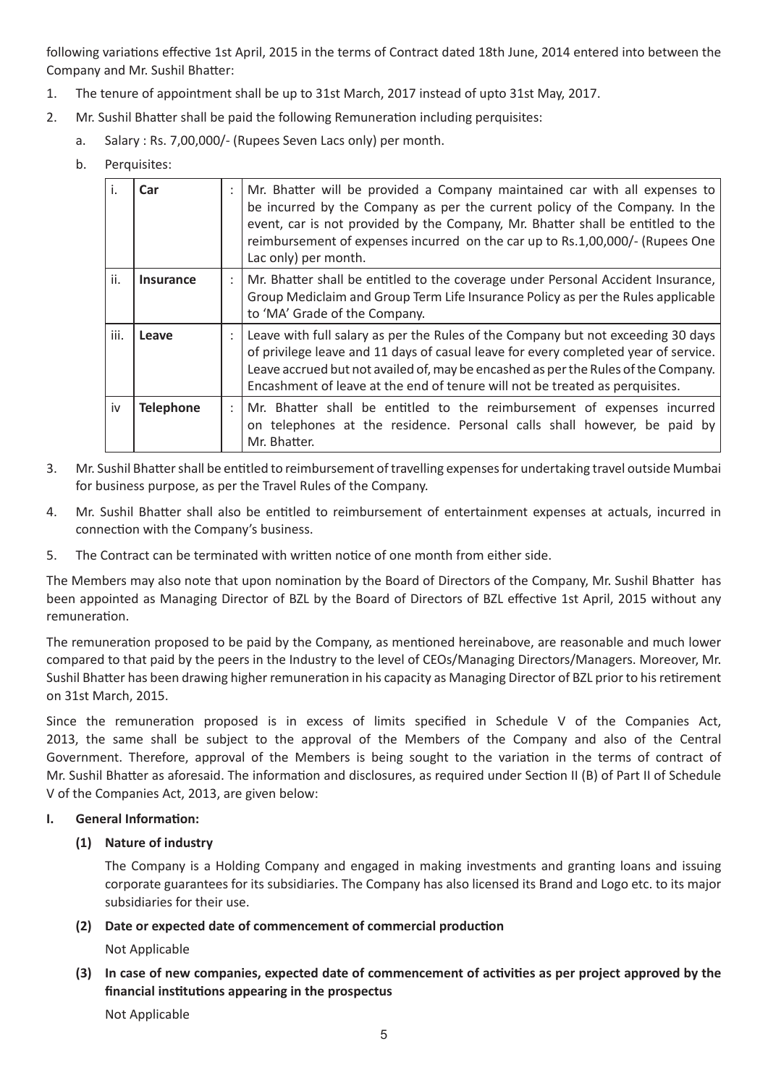following variations effective 1st April, 2015 in the terms of Contract dated 18th June, 2014 entered into between the Company and Mr. Sushil Bhatter:

- 1. The tenure of appointment shall be up to 31st March, 2017 instead of upto 31st May, 2017.
- 2. Mr. Sushil Bhatter shall be paid the following Remuneration including perquisites:
	- a. Salary : Rs. 7,00,000/- (Rupees Seven Lacs only) per month.
	- b. Perquisites:

| j.   | Car              | Mr. Bhatter will be provided a Company maintained car with all expenses to<br>be incurred by the Company as per the current policy of the Company. In the<br>event, car is not provided by the Company, Mr. Bhatter shall be entitled to the<br>reimbursement of expenses incurred on the car up to Rs.1,00,000/- (Rupees One<br>Lac only) per month. |
|------|------------------|-------------------------------------------------------------------------------------------------------------------------------------------------------------------------------------------------------------------------------------------------------------------------------------------------------------------------------------------------------|
| ii.  | <b>Insurance</b> | Mr. Bhatter shall be entitled to the coverage under Personal Accident Insurance,<br>Group Mediclaim and Group Term Life Insurance Policy as per the Rules applicable<br>to 'MA' Grade of the Company.                                                                                                                                                 |
| iii. | Leave            | Leave with full salary as per the Rules of the Company but not exceeding 30 days<br>of privilege leave and 11 days of casual leave for every completed year of service.<br>Leave accrued but not availed of, may be encashed as per the Rules of the Company.<br>Encashment of leave at the end of tenure will not be treated as perquisites.         |
| iv   | <b>Telephone</b> | Mr. Bhatter shall be entitled to the reimbursement of expenses incurred<br>on telephones at the residence. Personal calls shall however, be paid by<br>Mr. Bhatter.                                                                                                                                                                                   |

- 3. Mr. Sushil Bhatter shall be entitled to reimbursement of travelling expenses for undertaking travel outside Mumbai for business purpose, as per the Travel Rules of the Company.
- 4. Mr. Sushil Bhatter shall also be entitled to reimbursement of entertainment expenses at actuals, incurred in connection with the Company's business.
- 5. The Contract can be terminated with written notice of one month from either side.

The Members may also note that upon nomination by the Board of Directors of the Company, Mr. Sushil Bhatter has been appointed as Managing Director of BZL by the Board of Directors of BZL effective 1st April, 2015 without any remuneration.

The remuneration proposed to be paid by the Company, as mentioned hereinabove, are reasonable and much lower compared to that paid by the peers in the Industry to the level of CEOs/Managing Directors/Managers. Moreover, Mr. Sushil Bhatter has been drawing higher remuneration in his capacity as Managing Director of BZL prior to his retirement on 31st March, 2015.

Since the remuneration proposed is in excess of limits specified in Schedule V of the Companies Act, 2013, the same shall be subject to the approval of the Members of the Company and also of the Central Government. Therefore, approval of the Members is being sought to the variation in the terms of contract of Mr. Sushil Bhatter as aforesaid. The information and disclosures, as required under Section II (B) of Part II of Schedule V of the Companies Act, 2013, are given below:

# **I. General Information:**

# **(1) Nature of industry**

The Company is a Holding Company and engaged in making investments and granting loans and issuing corporate guarantees for its subsidiaries. The Company has also licensed its Brand and Logo etc. to its major subsidiaries for their use.

# **(2) Date or expected date of commencement of commercial production**

Not Applicable

# **(3) In case of new companies, expected date of commencement of activities as per project approved by the financial institutions appearing in the prospectus**

Not Applicable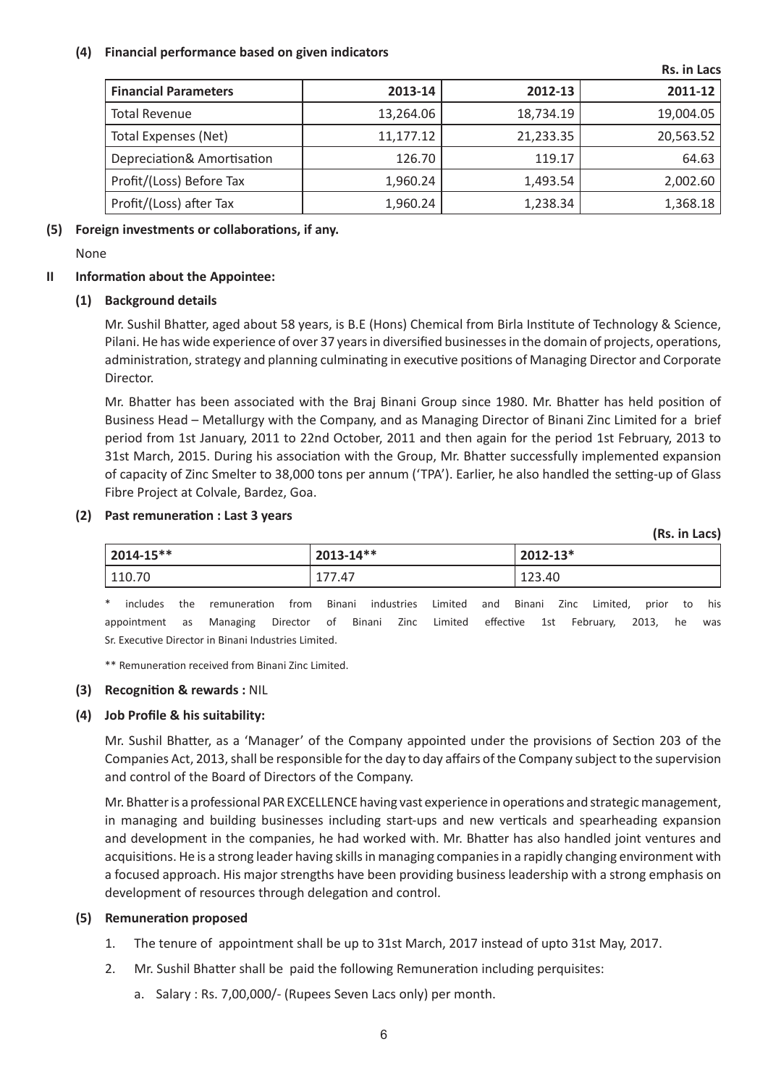# **(4) Financial performance based on given indicators**

|                             |           |           | ,,,,,,,,,,,, |
|-----------------------------|-----------|-----------|--------------|
| <b>Financial Parameters</b> | 2013-14   | 2012-13   | 2011-12      |
| <b>Total Revenue</b>        | 13,264.06 | 18,734.19 | 19,004.05    |
| <b>Total Expenses (Net)</b> | 11,177.12 | 21,233.35 | 20,563.52    |
| Depreciation& Amortisation  | 126.70    | 119.17    | 64.63        |
| Profit/(Loss) Before Tax    | 1,960.24  | 1,493.54  | 2,002.60     |
| Profit/(Loss) after Tax     | 1,960.24  | 1,238.34  | 1,368.18     |

**Rs. in Lacs**

**(Rs. in Lacs)**

## **(5) Foreign investments or collaborations, if any.**

None

# **II Information about the Appointee:**

# **(1) Background details**

Mr. Sushil Bhatter, aged about 58 years, is B.E (Hons) Chemical from Birla Institute of Technology & Science, Pilani. He has wide experience of over 37 years in diversified businesses in the domain of projects, operations, administration, strategy and planning culminating in executive positions of Managing Director and Corporate Director.

Mr. Bhatter has been associated with the Braj Binani Group since 1980. Mr. Bhatter has held position of Business Head – Metallurgy with the Company, and as Managing Director of Binani Zinc Limited for a brief period from 1st January, 2011 to 22nd October, 2011 and then again for the period 1st February, 2013 to 31st March, 2015. During his association with the Group, Mr. Bhatter successfully implemented expansion of capacity of Zinc Smelter to 38,000 tons per annum ('TPA'). Earlier, he also handled the setting-up of Glass Fibre Project at Colvale, Bardez, Goa.

# **(2) Past remuneration : Last 3 years**

| 2014-15** | $2013 - 14**$ | $2012 - 13*$ |
|-----------|---------------|--------------|
| 110.70    | 177.47        | 123.40       |

 \* includes the remuneration from Binani industries Limited and Binani Zinc Limited, prior to his appointment as Managing Director of Binani Zinc Limited effective 1st February, 2013, he was Sr. Executive Director in Binani Industries Limited.

\*\* Remuneration received from Binani Zinc Limited.

## **(3) Recognition & rewards :** NIL

# **(4) Job Profile & his suitability:**

Mr. Sushil Bhatter, as a 'Manager' of the Company appointed under the provisions of Section 203 of the Companies Act, 2013, shall be responsible for the day to day affairs of the Company subject to the supervision and control of the Board of Directors of the Company.

Mr. Bhatter is a professional PAR EXCELLENCE having vast experience in operations and strategic management, in managing and building businesses including start-ups and new verticals and spearheading expansion and development in the companies, he had worked with. Mr. Bhatter has also handled joint ventures and acquisitions. He is a strong leader having skills in managing companies in a rapidly changing environment with a focused approach. His major strengths have been providing business leadership with a strong emphasis on development of resources through delegation and control.

## **(5) Remuneration proposed**

- 1. The tenure of appointment shall be up to 31st March, 2017 instead of upto 31st May, 2017.
- 2. Mr. Sushil Bhatter shall be paid the following Remuneration including perquisites:
	- a. Salary : Rs. 7,00,000/- (Rupees Seven Lacs only) per month.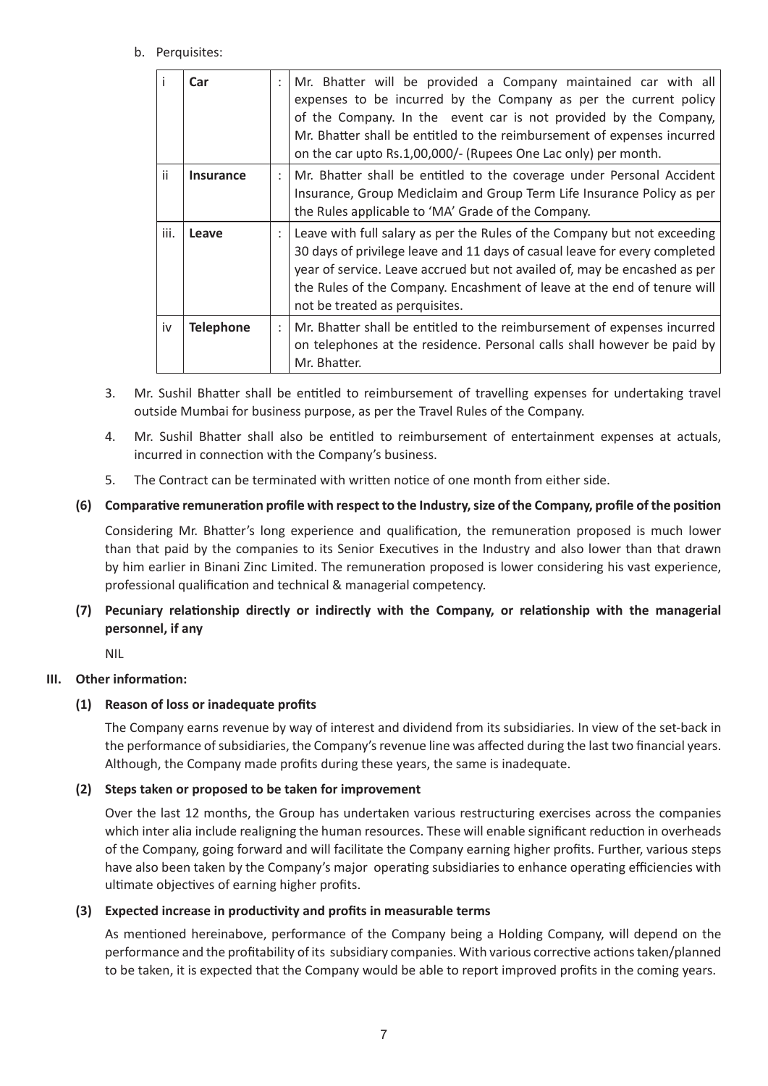## b. Perquisites:

|      | Car              | $\ddot{\cdot}$       | Mr. Bhatter will be provided a Company maintained car with all<br>expenses to be incurred by the Company as per the current policy<br>of the Company. In the event car is not provided by the Company,<br>Mr. Bhatter shall be entitled to the reimbursement of expenses incurred<br>on the car upto Rs.1,00,000/- (Rupees One Lac only) per month. |
|------|------------------|----------------------|-----------------------------------------------------------------------------------------------------------------------------------------------------------------------------------------------------------------------------------------------------------------------------------------------------------------------------------------------------|
| ii.  | Insurance        | $\ddot{\phantom{a}}$ | Mr. Bhatter shall be entitled to the coverage under Personal Accident                                                                                                                                                                                                                                                                               |
|      |                  |                      | Insurance, Group Mediclaim and Group Term Life Insurance Policy as per                                                                                                                                                                                                                                                                              |
|      |                  |                      | the Rules applicable to 'MA' Grade of the Company.                                                                                                                                                                                                                                                                                                  |
| iii. | Leave            |                      | Leave with full salary as per the Rules of the Company but not exceeding<br>30 days of privilege leave and 11 days of casual leave for every completed<br>year of service. Leave accrued but not availed of, may be encashed as per<br>the Rules of the Company. Encashment of leave at the end of tenure will<br>not be treated as perquisites.    |
| iv   | <b>Telephone</b> | $\ddot{\cdot}$       | Mr. Bhatter shall be entitled to the reimbursement of expenses incurred<br>on telephones at the residence. Personal calls shall however be paid by<br>Mr. Bhatter.                                                                                                                                                                                  |

- 3. Mr. Sushil Bhatter shall be entitled to reimbursement of travelling expenses for undertaking travel outside Mumbai for business purpose, as per the Travel Rules of the Company.
- 4. Mr. Sushil Bhatter shall also be entitled to reimbursement of entertainment expenses at actuals, incurred in connection with the Company's business.
- 5. The Contract can be terminated with written notice of one month from either side.

## **(6) Comparative remuneration profile with respect to the Industry, size of the Company, profile of the position**

Considering Mr. Bhatter's long experience and qualification, the remuneration proposed is much lower than that paid by the companies to its Senior Executives in the Industry and also lower than that drawn by him earlier in Binani Zinc Limited. The remuneration proposed is lower considering his vast experience, professional qualification and technical & managerial competency.

**(7) Pecuniary relationship directly or indirectly with the Company, or relationship with the managerial personnel, if any**

NIL

## **III. Other information:**

## **(1) Reason of loss or inadequate profits**

The Company earns revenue by way of interest and dividend from its subsidiaries. In view of the set-back in the performance of subsidiaries, the Company's revenue line was affected during the last two financial years. Although, the Company made profits during these years, the same is inadequate.

## **(2) Steps taken or proposed to be taken for improvement**

Over the last 12 months, the Group has undertaken various restructuring exercises across the companies which inter alia include realigning the human resources. These will enable significant reduction in overheads of the Company, going forward and will facilitate the Company earning higher profits. Further, various steps have also been taken by the Company's major operating subsidiaries to enhance operating efficiencies with ultimate objectives of earning higher profits.

## **(3) Expected increase in productivity and profits in measurable terms**

As mentioned hereinabove, performance of the Company being a Holding Company, will depend on the performance and the profitability of its subsidiary companies. With various corrective actions taken/planned to be taken, it is expected that the Company would be able to report improved profits in the coming years.